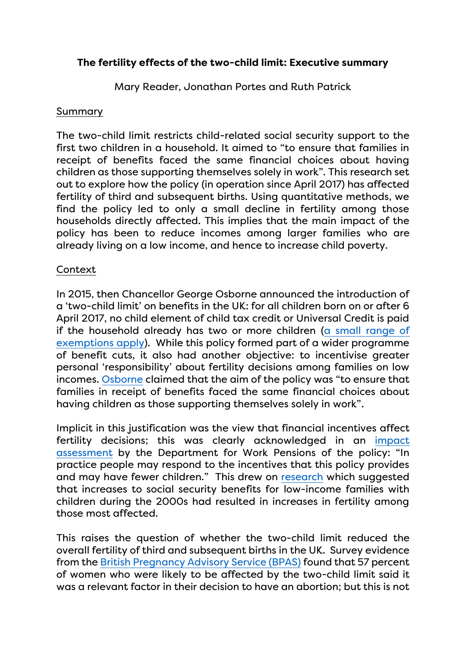# **The fertility effects of the two-child limit: Executive summary**

Mary Reader, Jonathan Portes and Ruth Patrick

#### Summary

The two-child limit restricts child-related social security support to the first two children in a household. It aimed to "to ensure that families in receipt of benefits faced the same financial choices about having children as those supporting themselves solely in work". This research set out to explore how the policy (in operation since April 2017) has affected fertility of third and subsequent births. Using quantitative methods, we find the policy led to only a small decline in fertility among those households directly affected. This implies that the main impact of the policy has been to reduce incomes among larger families who are already living on a low income, and hence to increase child poverty.

### Context

In 2015, then Chancellor George Osborne announced the introduction of a 'two-child limit' on benefits in the UK: for all children born on or after 6 April 2017, no child element of child tax credit or Universal Credit is paid if the household already has two or more children [\(a small range of](https://www.entitledto.co.uk/help/exemptions_to_2_child_limit)  [exemptions apply\)](https://www.entitledto.co.uk/help/exemptions_to_2_child_limit). While this policy formed part of a wider programme of benefit cuts, it also had another objective: to incentivise greater personal 'responsibility' about fertility decisions among families on low incomes. [Osborne](https://assets.publishing.service.gov.uk/government/uploads/system/uploads/attachment_data/file/443232/50325_Summer_Budget_15_Web_Accessible.pdf) claimed that the aim of the policy was "to ensure that families in receipt of benefits faced the same financial choices about having children as those supporting themselves solely in work".

Implicit in this justification was the view that financial incentives affect fertility decisions; this was clearly acknowledged in an [impact](https://www.parliament.uk/globalassets/documents/impact-assessments/IA15-006E.pdf)  [assessment](https://www.parliament.uk/globalassets/documents/impact-assessments/IA15-006E.pdf) by the Department for Work Pensions of the policy: "In practice people may respond to the incentives that this policy provides and may have fewer children." This drew on [research](https://www.jstor.org/stable/41408911) which suggested that increases to social security benefits for low-income families with children during the 2000s had resulted in increases in fertility among those most affected.

This raises the question of whether the two-child limit reduced the overall fertility of third and subsequent births in the UK. Survey evidence from the [British Pregnancy Advisory Service \(BPAS\)](https://www.bpas.org/about-our-charity/press-office/press-releases/research-finds-that-the-two-child-limit-is-a-significant-factor-in-women-s-decision-to-end-a-pregnancy-during-the-pandemic/) found that 57 percent of women who were likely to be affected by the two-child limit said it was a relevant factor in their decision to have an abortion; but this is not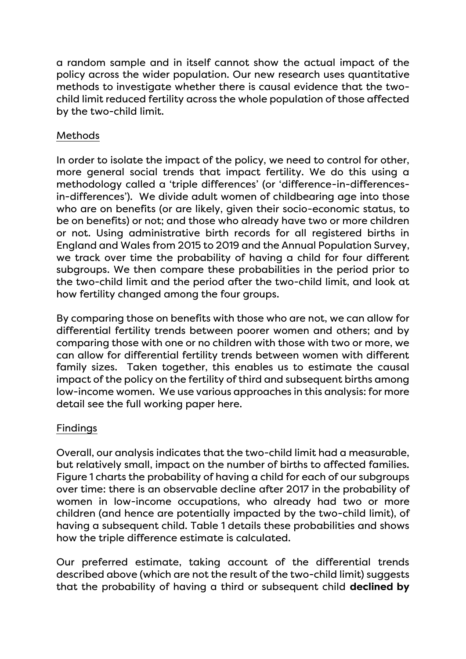a random sample and in itself cannot show the actual impact of the policy across the wider population. Our new research uses quantitative methods to investigate whether there is causal evidence that the twochild limit reduced fertility across the whole population of those affected by the two-child limit.

# Methods

In order to isolate the impact of the policy, we need to control for other, more general social trends that impact fertility. We do this using a methodology called a 'triple differences' (or 'difference-in-differencesin-differences'). We divide adult women of childbearing age into those who are on benefits (or are likely, given their socio-economic status, to be on benefits) or not; and those who already have two or more children or not. Using administrative birth records for all registered births in England and Wales from 2015 to 2019 and the Annual Population Survey, we track over time the probability of having a child for four different subgroups. We then compare these probabilities in the period prior to the two-child limit and the period after the two-child limit, and look at how fertility changed among the four groups.

By comparing those on benefits with those who are not, we can allow for differential fertility trends between poorer women and others; and by comparing those with one or no children with those with two or more, we can allow for differential fertility trends between women with different family sizes. Taken together, this enables us to estimate the causal impact of the policy on the fertility of third and subsequent births among low-income women. We use various approaches in this analysis: for more detail see the full working paper here.

### Findings

Overall, our analysis indicates that the two-child limit had a measurable, but relatively small, impact on the number of births to affected families. Figure 1 charts the probability of having a child for each of our subgroups over time: there is an observable decline after 2017 in the probability of women in low-income occupations, who already had two or more children (and hence are potentially impacted by the two-child limit), of having a subsequent child. Table 1 details these probabilities and shows how the triple difference estimate is calculated.

Our preferred estimate, taking account of the differential trends described above (which are not the result of the two-child limit) suggests that the probability of having a third or subsequent child **declined by**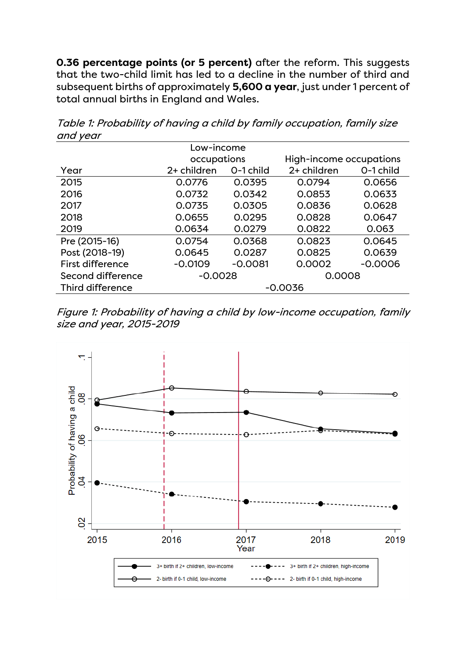**0.36 percentage points (or 5 percent)** after the reform. This suggests that the two-child limit has led to a decline in the number of third and subsequent births of approximately **5,600 a year**, just under 1 percent of total annual births in England and Wales.

| Low-income        |             |           |                         |           |
|-------------------|-------------|-----------|-------------------------|-----------|
|                   | occupations |           | High-income occupations |           |
| Year              | 2+ children | O-1 child | 2+ children             | O-1 child |
| 2015              | 0.0776      | 0.0395    | 0.0794                  | 0.0656    |
| 2016              | 0.0732      | 0.0342    | 0.0853                  | 0.0633    |
| 2017              | 0.0735      | 0.0305    | 0.0836                  | 0.0628    |
| 2018              | 0.0655      | 0.0295    | 0.0828                  | 0.0647    |
| 2019              | 0.0634      | 0.0279    | 0.0822                  | 0.063     |
| Pre (2015-16)     | 0.0754      | 0.0368    | 0.0823                  | 0.0645    |
| Post (2018-19)    | 0.0645      | 0.0287    | 0.0825                  | 0.0639    |
| First difference  | $-0.0109$   | $-0.0081$ | 0.0002                  | $-0.0006$ |
| Second difference | $-0.0028$   |           | 0.0008                  |           |
| Third difference  | $-0.0036$   |           |                         |           |
|                   |             |           |                         |           |

Table 1: Probability of having a child by family occupation, family size and year

Figure 1: Probability of having a child by low-income occupation, family size and year, 2015-2019

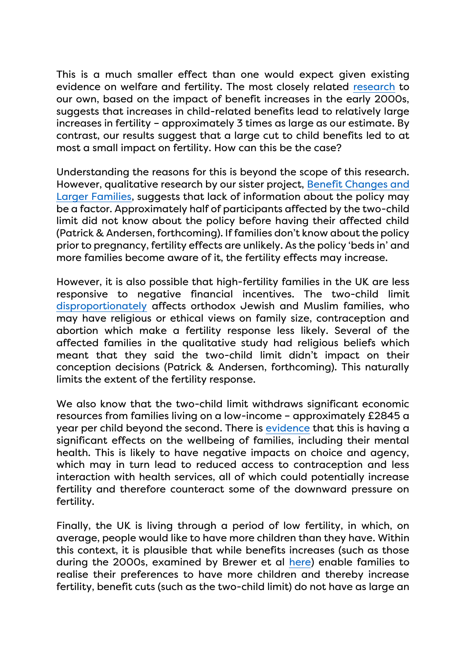This is a much smaller effect than one would expect given existing evidence on welfare and fertility. The most closely related [research](https://www.jstor.org/stable/41408911) to our own, based on the impact of benefit increases in the early 2000s, suggests that increases in child-related benefits lead to relatively large increases in fertility – approximately 3 times as large as our estimate. By contrast, our results suggest that a large cut to child benefits led to at most a small impact on fertility. How can this be the case?

Understanding the reasons for this is beyond the scope of this research. However, qualitative research by our sister project, [Benefit Changes and](https://largerfamilies.study/)  [Larger Families,](https://largerfamilies.study/) suggests that lack of information about the policy may be a factor. Approximately half of participants affected by the two-child limit did not know about the policy before having their affected child (Patrick & Andersen, forthcoming). If families don't know about the policy prior to pregnancy, fertility effects are unlikely. As the policy 'beds in' and more families become aware of it, the fertility effects may increase.

However, it is also possible that high-fertility families in the UK are less responsive to negative financial incentives. The two-child limit [disproportionately](https://www.parliament.uk/globalassets/documents/impact-assessments/IA15-006E.pdf) affects orthodox Jewish and Muslim families, who may have religious or ethical views on family size, contraception and abortion which make a fertility response less likely. Several of the affected families in the qualitative study had religious beliefs which meant that they said the two-child limit didn't impact on their conception decisions (Patrick & Andersen, forthcoming). This naturally limits the extent of the fertility response.

We also know that the two-child limit withdraws significant economic resources from families living on a low-income – approximately £2845 a year per child beyond the second. There is [evidence](https://cpag.org.uk/news-blogs/news-listings/%E2%80%98other-people-don%E2%80%99t-have-think-about-which-kid-they-love-most-month%E2%80%99) that this is having a significant effects on the wellbeing of families, including their mental health. This is likely to have negative impacts on choice and agency, which may in turn lead to reduced access to contraception and less interaction with health services, all of which could potentially increase fertility and therefore counteract some of the downward pressure on fertility.

Finally, the UK is living through a period of low fertility, in which, on average, people would like to have more children than they have. Within this context, it is plausible that while benefits increases (such as those during the 2000s, examined by Brewer et al [here\)](https://www.jstor.org/stable/41408911) enable families to realise their preferences to have more children and thereby increase fertility, benefit cuts (such as the two-child limit) do not have as large an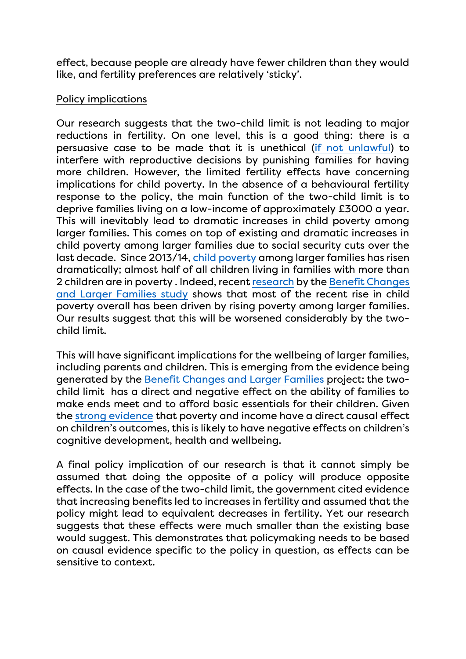effect, because people are already have fewer children than they would like, and fertility preferences are relatively 'sticky'.

# Policy implications

Our research suggests that the two-child limit is not leading to major reductions in fertility. On one level, this is a good thing: there is a persuasive case to be made that it is unethical [\(if not unlawful\)](https://www.theguardian.com/politics/2021/jul/09/supreme-court-rejects-challenge-to-universal-credit-two-child-limit) to interfere with reproductive decisions by punishing families for having more children. However, the limited fertility effects have concerning implications for child poverty. In the absence of a behavioural fertility response to the policy, the main function of the two-child limit is to deprive families living on a low-income of approximately £3000 a year. This will inevitably lead to dramatic increases in child poverty among larger families. This comes on top of existing and dramatic increases in child poverty among larger families due to social security cuts over the last decade. Since 2013/14, [child poverty](https://sticerd.lse.ac.uk/dps/case/cp/casepaper224.pdf) among larger families has risen dramatically; almost half of all children living in families with more than 2 children are in poverty . Indeed, recent [research](https://sticerd.lse.ac.uk/dps/case/cp/casepaper224.pdf) by the Benefit Changes [and Larger Families study](http://www.largerfamilies.org/) shows that most of the recent rise in child poverty overall has been driven by rising poverty among larger families. Our results suggest that this will be worsened considerably by the twochild limit.

This will have significant implications for the wellbeing of larger families, including parents and children. This is emerging from the evidence being generated by the [Benefit Changes and Larger Families](https://largerfamilies.study/) project: the twochild limit has a direct and negative effect on the ability of families to make ends meet and to afford basic essentials for their children. Given the [strong evidence](http://eprints.lse.ac.uk/103494/1/casepaper203.pdf) that poverty and income have a direct causal effect on children's outcomes, this is likely to have negative effects on children's cognitive development, health and wellbeing.

A final policy implication of our research is that it cannot simply be assumed that doing the opposite of a policy will produce opposite effects. In the case of the two-child limit, the government cited evidence that increasing benefits led to increases in fertility and assumed that the policy might lead to equivalent decreases in fertility. Yet our research suggests that these effects were much smaller than the existing base would suggest. This demonstrates that policymaking needs to be based on causal evidence specific to the policy in question, as effects can be sensitive to context.